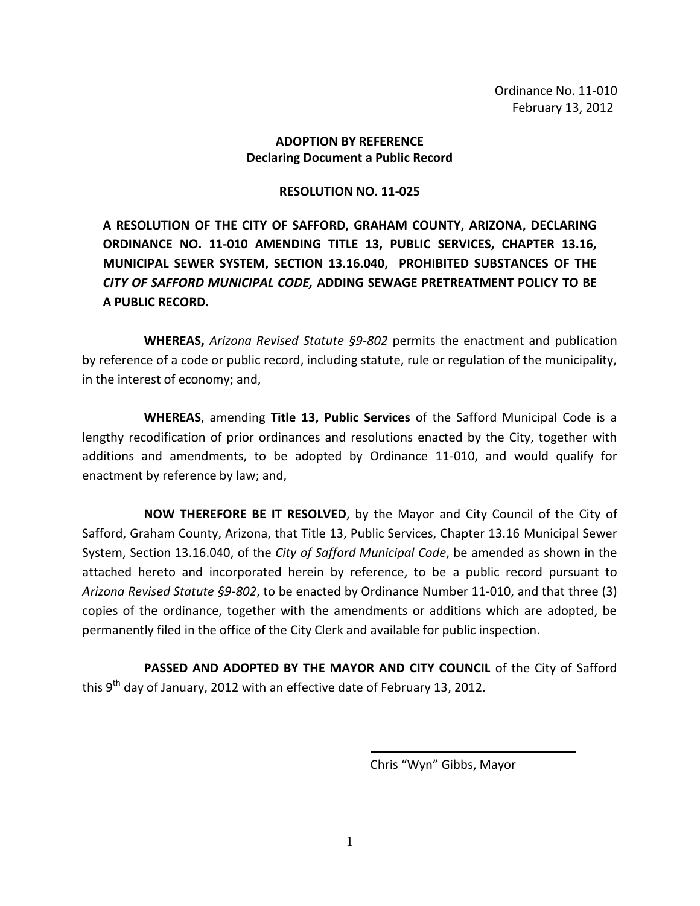Ordinance No. 11-010 February 13, 2012

### **ADOPTION BY REFERENCE Declaring Document a Public Record**

### **RESOLUTION NO. 11-025**

**A RESOLUTION OF THE CITY OF SAFFORD, GRAHAM COUNTY, ARIZONA, DECLARING ORDINANCE NO. 11-010 AMENDING TITLE 13, PUBLIC SERVICES, CHAPTER 13.16, MUNICIPAL SEWER SYSTEM, SECTION 13.16.040, PROHIBITED SUBSTANCES OF THE**  *CITY OF SAFFORD MUNICIPAL CODE,* **ADDING SEWAGE PRETREATMENT POLICY TO BE A PUBLIC RECORD.** 

**WHEREAS,** *Arizona Revised Statute §9-802* permits the enactment and publication by reference of a code or public record, including statute, rule or regulation of the municipality, in the interest of economy; and,

**WHEREAS**, amending **Title 13, Public Services** of the Safford Municipal Code is a lengthy recodification of prior ordinances and resolutions enacted by the City, together with additions and amendments, to be adopted by Ordinance 11-010, and would qualify for enactment by reference by law; and,

**NOW THEREFORE BE IT RESOLVED**, by the Mayor and City Council of the City of Safford, Graham County, Arizona, that Title 13, Public Services, Chapter 13.16 Municipal Sewer System, Section 13.16.040, of the *City of Safford Municipal Code*, be amended as shown in the attached hereto and incorporated herein by reference, to be a public record pursuant to *Arizona Revised Statute §9-802*, to be enacted by Ordinance Number 11-010, and that three (3) copies of the ordinance, together with the amendments or additions which are adopted, be permanently filed in the office of the City Clerk and available for public inspection.

PASSED AND ADOPTED BY THE MAYOR AND CITY COUNCIL of the City of Safford this 9<sup>th</sup> day of January, 2012 with an effective date of February 13, 2012.

Chris "Wyn" Gibbs, Mayor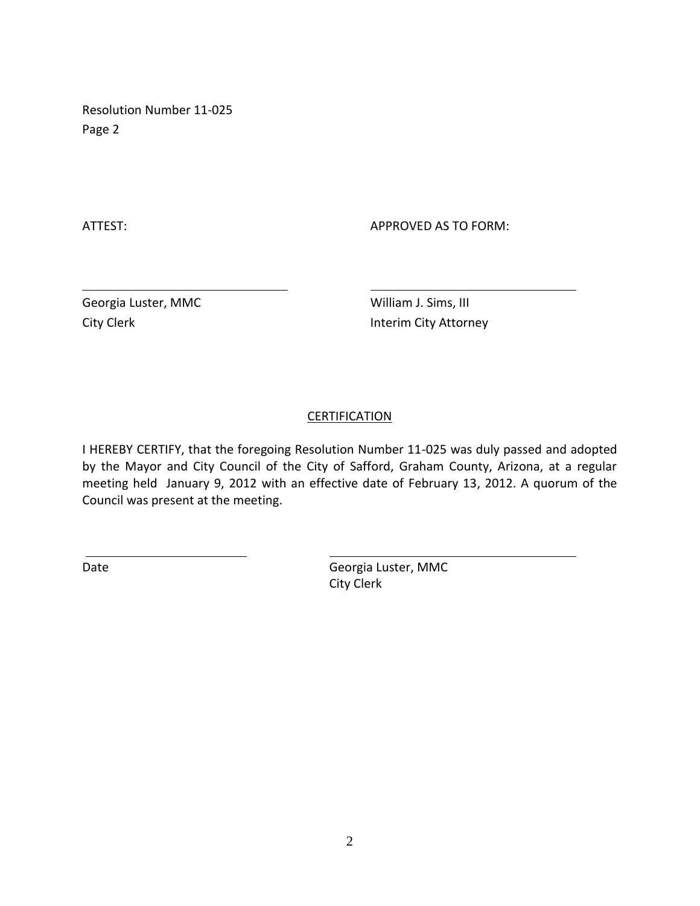Resolution Number 11-025 Page 2

ATTEST: AND A PERSON AS TO FORM:

Georgia Luster, MMC William J. Sims, III

City Clerk **Interim City Attorney** 

# **CERTIFICATION**

I HEREBY CERTIFY, that the foregoing Resolution Number 11-025 was duly passed and adopted by the Mayor and City Council of the City of Safford, Graham County, Arizona, at a regular meeting held January 9, 2012 with an effective date of February 13, 2012. A quorum of the Council was present at the meeting.

Date Case Contract Contract Contract Contract Georgia Luster, MMC City Clerk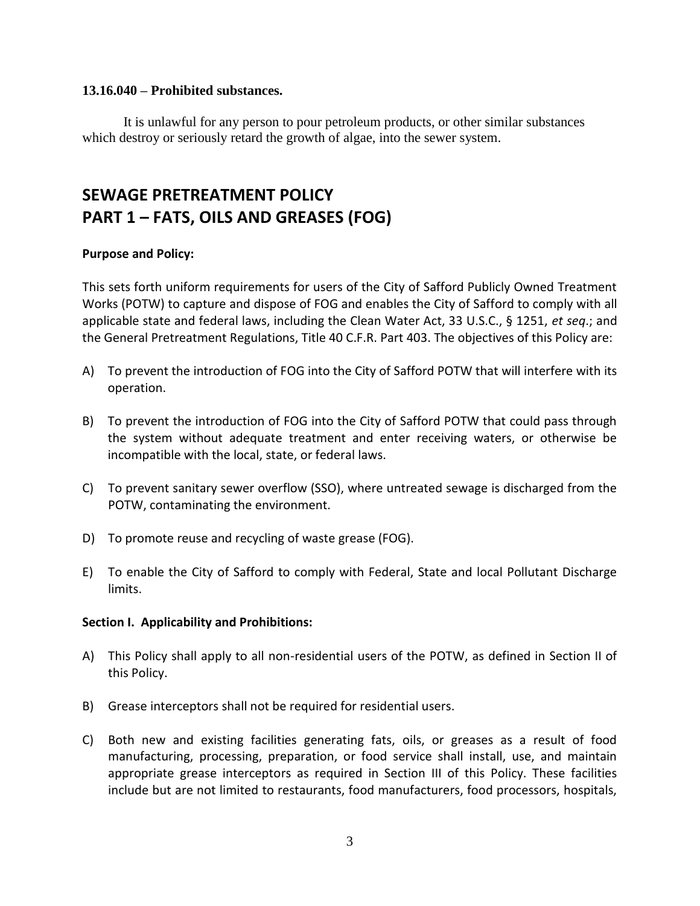### **13.16.040 – Prohibited substances.**

It is unlawful for any person to pour petroleum products, or other similar substances which destroy or seriously retard the growth of algae, into the sewer system.

# **SEWAGE PRETREATMENT POLICY PART 1 – FATS, OILS AND GREASES (FOG)**

### **Purpose and Policy:**

This sets forth uniform requirements for users of the City of Safford Publicly Owned Treatment Works (POTW) to capture and dispose of FOG and enables the City of Safford to comply with all applicable state and federal laws, including the Clean Water Act, 33 U.S.C., § 1251, *et seq*.; and the General Pretreatment Regulations, Title 40 C.F.R. Part 403. The objectives of this Policy are:

- A) To prevent the introduction of FOG into the City of Safford POTW that will interfere with its operation.
- B) To prevent the introduction of FOG into the City of Safford POTW that could pass through the system without adequate treatment and enter receiving waters, or otherwise be incompatible with the local, state, or federal laws.
- C) To prevent sanitary sewer overflow (SSO), where untreated sewage is discharged from the POTW, contaminating the environment.
- D) To promote reuse and recycling of waste grease (FOG).
- E) To enable the City of Safford to comply with Federal, State and local Pollutant Discharge limits.

#### **Section I. Applicability and Prohibitions:**

- A) This Policy shall apply to all non-residential users of the POTW, as defined in Section II of this Policy.
- B) Grease interceptors shall not be required for residential users.
- C) Both new and existing facilities generating fats, oils, or greases as a result of food manufacturing, processing, preparation, or food service shall install, use, and maintain appropriate grease interceptors as required in Section III of this Policy. These facilities include but are not limited to restaurants, food manufacturers, food processors, hospitals,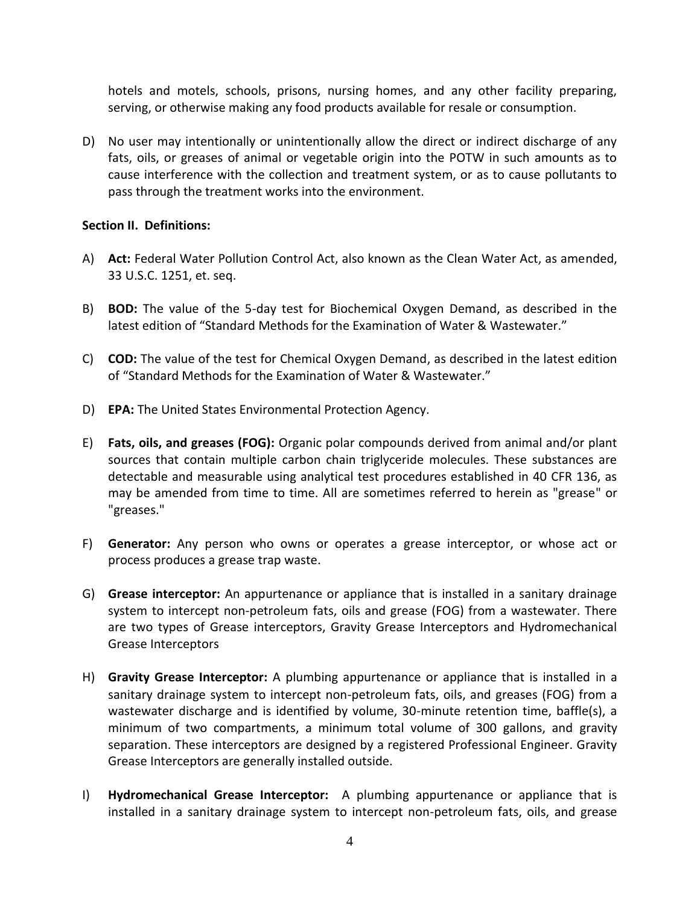hotels and motels, schools, prisons, nursing homes, and any other facility preparing, serving, or otherwise making any food products available for resale or consumption.

D) No user may intentionally or unintentionally allow the direct or indirect discharge of any fats, oils, or greases of animal or vegetable origin into the POTW in such amounts as to cause interference with the collection and treatment system, or as to cause pollutants to pass through the treatment works into the environment.

### **Section II. Definitions:**

- A) **Act:** Federal Water Pollution Control Act, also known as the Clean Water Act, as amended, 33 U.S.C. 1251, et. seq.
- B) **BOD:** The value of the 5-day test for Biochemical Oxygen Demand, as described in the latest edition of "Standard Methods for the Examination of Water & Wastewater."
- C) **COD:** The value of the test for Chemical Oxygen Demand, as described in the latest edition of "Standard Methods for the Examination of Water & Wastewater."
- D) **EPA:** The United States Environmental Protection Agency.
- E) **Fats, oils, and greases (FOG):** Organic polar compounds derived from animal and/or plant sources that contain multiple carbon chain triglyceride molecules. These substances are detectable and measurable using analytical test procedures established in 40 CFR 136, as may be amended from time to time. All are sometimes referred to herein as "grease" or "greases."
- F) **Generator:** Any person who owns or operates a grease interceptor, or whose act or process produces a grease trap waste.
- G) **Grease interceptor:** An appurtenance or appliance that is installed in a sanitary drainage system to intercept non-petroleum fats, oils and grease (FOG) from a wastewater. There are two types of Grease interceptors, Gravity Grease Interceptors and Hydromechanical Grease Interceptors
- H) **Gravity Grease Interceptor:** A plumbing appurtenance or appliance that is installed in a sanitary drainage system to intercept non-petroleum fats, oils, and greases (FOG) from a wastewater discharge and is identified by volume, 30-minute retention time, baffle(s), a minimum of two compartments, a minimum total volume of 300 gallons, and gravity separation. These interceptors are designed by a registered Professional Engineer. Gravity Grease Interceptors are generally installed outside.
- I) **Hydromechanical Grease Interceptor:** A plumbing appurtenance or appliance that is installed in a sanitary drainage system to intercept non-petroleum fats, oils, and grease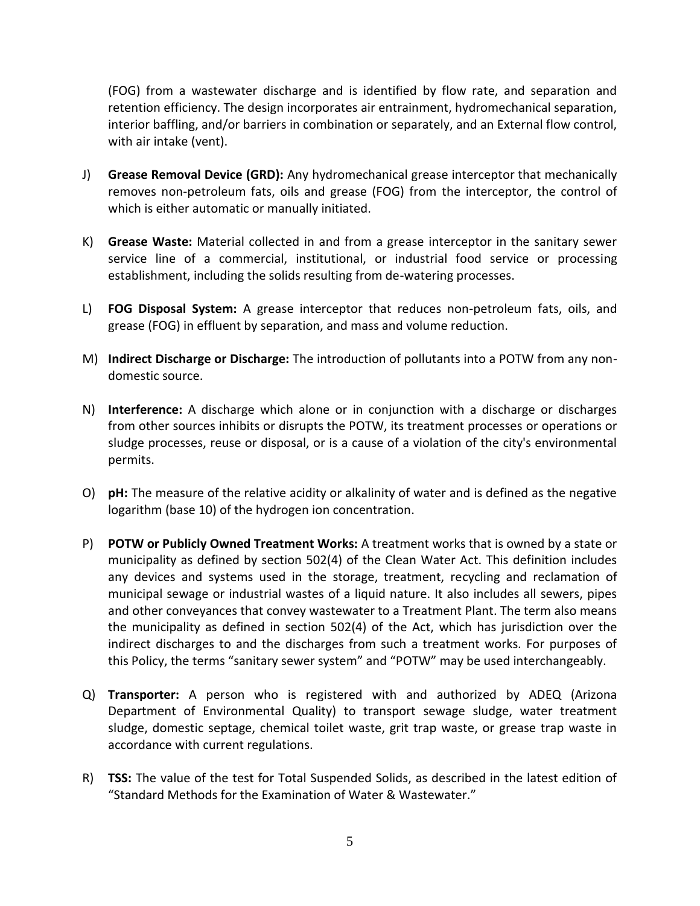(FOG) from a wastewater discharge and is identified by flow rate, and separation and retention efficiency. The design incorporates air entrainment, hydromechanical separation, interior baffling, and/or barriers in combination or separately, and an External flow control, with air intake (vent).

- J) **Grease Removal Device (GRD):** Any hydromechanical grease interceptor that mechanically removes non-petroleum fats, oils and grease (FOG) from the interceptor, the control of which is either automatic or manually initiated.
- K) **Grease Waste:** Material collected in and from a grease interceptor in the sanitary sewer service line of a commercial, institutional, or industrial food service or processing establishment, including the solids resulting from de-watering processes.
- L) **FOG Disposal System:** A grease interceptor that reduces non-petroleum fats, oils, and grease (FOG) in effluent by separation, and mass and volume reduction.
- M) **Indirect Discharge or Discharge:** The introduction of pollutants into a POTW from any nondomestic source.
- N) **Interference:** A discharge which alone or in conjunction with a discharge or discharges from other sources inhibits or disrupts the POTW, its treatment processes or operations or sludge processes, reuse or disposal, or is a cause of a violation of the city's environmental permits.
- O) **pH:** The measure of the relative acidity or alkalinity of water and is defined as the negative logarithm (base 10) of the hydrogen ion concentration.
- P) **POTW or Publicly Owned Treatment Works:** A treatment works that is owned by a state or municipality as defined by section 502(4) of the Clean Water Act. This definition includes any devices and systems used in the storage, treatment, recycling and reclamation of municipal sewage or industrial wastes of a liquid nature. It also includes all sewers, pipes and other conveyances that convey wastewater to a Treatment Plant. The term also means the municipality as defined in section 502(4) of the Act, which has jurisdiction over the indirect discharges to and the discharges from such a treatment works. For purposes of this Policy, the terms "sanitary sewer system" and "POTW" may be used interchangeably.
- Q) **Transporter:** A person who is registered with and authorized by ADEQ (Arizona Department of Environmental Quality) to transport sewage sludge, water treatment sludge, domestic septage, chemical toilet waste, grit trap waste, or grease trap waste in accordance with current regulations.
- R) **TSS:** The value of the test for Total Suspended Solids, as described in the latest edition of "Standard Methods for the Examination of Water & Wastewater."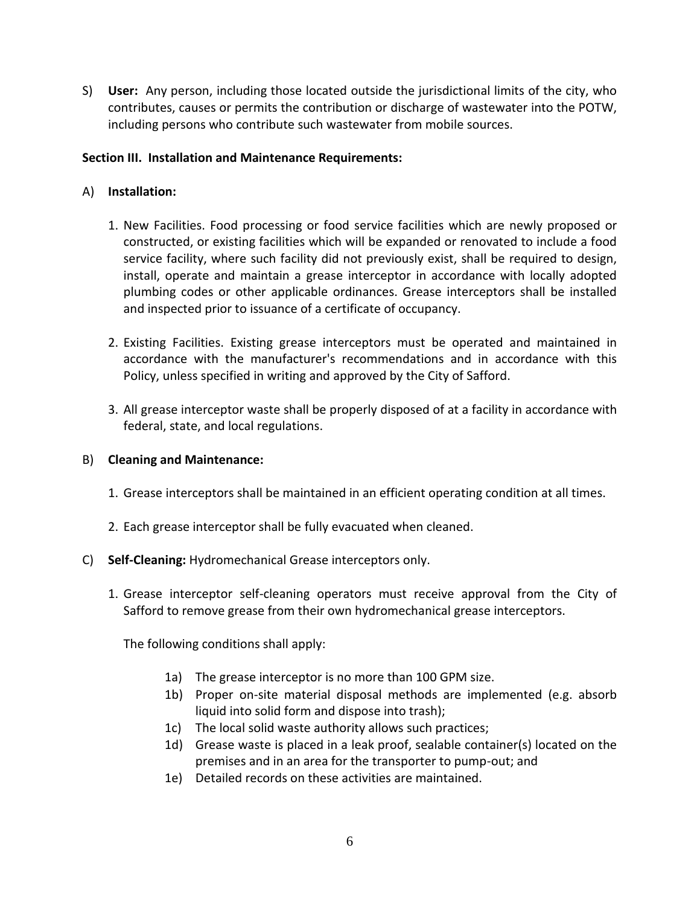S) **User:** Any person, including those located outside the jurisdictional limits of the city, who contributes, causes or permits the contribution or discharge of wastewater into the POTW, including persons who contribute such wastewater from mobile sources.

### **Section III. Installation and Maintenance Requirements:**

### A) **Installation:**

- 1. New Facilities. Food processing or food service facilities which are newly proposed or constructed, or existing facilities which will be expanded or renovated to include a food service facility, where such facility did not previously exist, shall be required to design, install, operate and maintain a grease interceptor in accordance with locally adopted plumbing codes or other applicable ordinances. Grease interceptors shall be installed and inspected prior to issuance of a certificate of occupancy.
- 2. Existing Facilities. Existing grease interceptors must be operated and maintained in accordance with the manufacturer's recommendations and in accordance with this Policy, unless specified in writing and approved by the City of Safford.
- 3. All grease interceptor waste shall be properly disposed of at a facility in accordance with federal, state, and local regulations.

### B) **Cleaning and Maintenance:**

- 1. Grease interceptors shall be maintained in an efficient operating condition at all times.
- 2. Each grease interceptor shall be fully evacuated when cleaned.

### C) **Self-Cleaning:** Hydromechanical Grease interceptors only.

1. Grease interceptor self-cleaning operators must receive approval from the City of Safford to remove grease from their own hydromechanical grease interceptors.

The following conditions shall apply:

- 1a) The grease interceptor is no more than 100 GPM size.
- 1b) Proper on-site material disposal methods are implemented (e.g. absorb liquid into solid form and dispose into trash);
- 1c) The local solid waste authority allows such practices;
- 1d) Grease waste is placed in a leak proof, sealable container(s) located on the premises and in an area for the transporter to pump-out; and
- 1e) Detailed records on these activities are maintained.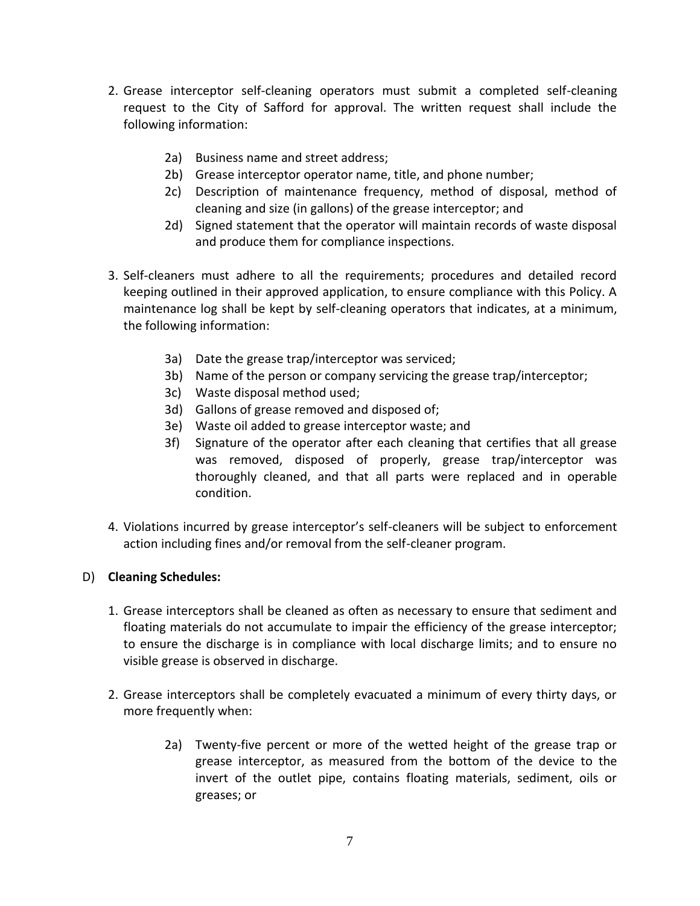- 2. Grease interceptor self-cleaning operators must submit a completed self-cleaning request to the City of Safford for approval. The written request shall include the following information:
	- 2a) Business name and street address;
	- 2b) Grease interceptor operator name, title, and phone number;
	- 2c) Description of maintenance frequency, method of disposal, method of cleaning and size (in gallons) of the grease interceptor; and
	- 2d) Signed statement that the operator will maintain records of waste disposal and produce them for compliance inspections.
- 3. Self-cleaners must adhere to all the requirements; procedures and detailed record keeping outlined in their approved application, to ensure compliance with this Policy. A maintenance log shall be kept by self-cleaning operators that indicates, at a minimum, the following information:
	- 3a) Date the grease trap/interceptor was serviced;
	- 3b) Name of the person or company servicing the grease trap/interceptor;
	- 3c) Waste disposal method used;
	- 3d) Gallons of grease removed and disposed of;
	- 3e) Waste oil added to grease interceptor waste; and
	- 3f) Signature of the operator after each cleaning that certifies that all grease was removed, disposed of properly, grease trap/interceptor was thoroughly cleaned, and that all parts were replaced and in operable condition.
- 4. Violations incurred by grease interceptor's self-cleaners will be subject to enforcement action including fines and/or removal from the self-cleaner program.

### D) **Cleaning Schedules:**

- 1. Grease interceptors shall be cleaned as often as necessary to ensure that sediment and floating materials do not accumulate to impair the efficiency of the grease interceptor; to ensure the discharge is in compliance with local discharge limits; and to ensure no visible grease is observed in discharge.
- 2. Grease interceptors shall be completely evacuated a minimum of every thirty days, or more frequently when:
	- 2a) Twenty-five percent or more of the wetted height of the grease trap or grease interceptor, as measured from the bottom of the device to the invert of the outlet pipe, contains floating materials, sediment, oils or greases; or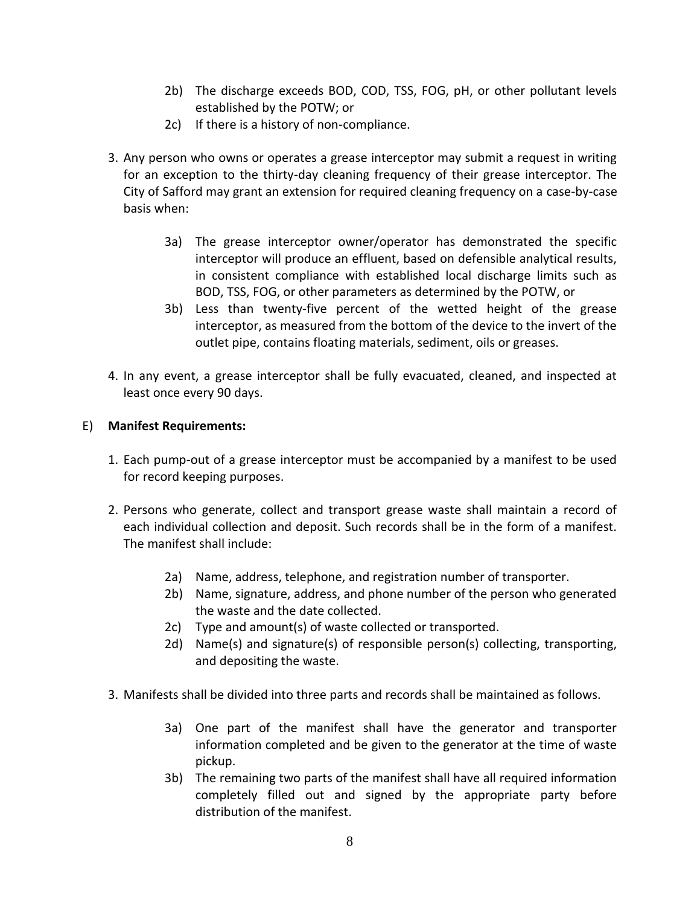- 2b) The discharge exceeds BOD, COD, TSS, FOG, pH, or other pollutant levels established by the POTW; or
- 2c) If there is a history of non-compliance.
- 3. Any person who owns or operates a grease interceptor may submit a request in writing for an exception to the thirty-day cleaning frequency of their grease interceptor. The City of Safford may grant an extension for required cleaning frequency on a case-by-case basis when:
	- 3a) The grease interceptor owner/operator has demonstrated the specific interceptor will produce an effluent, based on defensible analytical results, in consistent compliance with established local discharge limits such as BOD, TSS, FOG, or other parameters as determined by the POTW, or
	- 3b) Less than twenty-five percent of the wetted height of the grease interceptor, as measured from the bottom of the device to the invert of the outlet pipe, contains floating materials, sediment, oils or greases.
- 4. In any event, a grease interceptor shall be fully evacuated, cleaned, and inspected at least once every 90 days.

### E) **Manifest Requirements:**

- 1. Each pump-out of a grease interceptor must be accompanied by a manifest to be used for record keeping purposes.
- 2. Persons who generate, collect and transport grease waste shall maintain a record of each individual collection and deposit. Such records shall be in the form of a manifest. The manifest shall include:
	- 2a) Name, address, telephone, and registration number of transporter.
	- 2b) Name, signature, address, and phone number of the person who generated the waste and the date collected.
	- 2c) Type and amount(s) of waste collected or transported.
	- 2d) Name(s) and signature(s) of responsible person(s) collecting, transporting, and depositing the waste.
- 3. Manifests shall be divided into three parts and records shall be maintained as follows.
	- 3a) One part of the manifest shall have the generator and transporter information completed and be given to the generator at the time of waste pickup.
	- 3b) The remaining two parts of the manifest shall have all required information completely filled out and signed by the appropriate party before distribution of the manifest.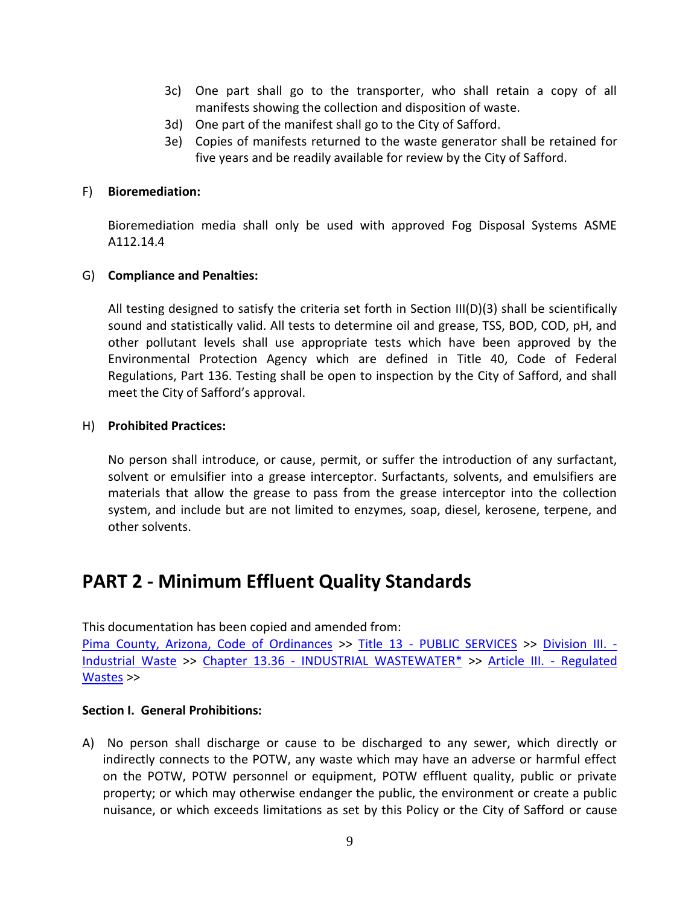- 3c) One part shall go to the transporter, who shall retain a copy of all manifests showing the collection and disposition of waste.
- 3d) One part of the manifest shall go to the City of Safford.
- 3e) Copies of manifests returned to the waste generator shall be retained for five years and be readily available for review by the City of Safford.

#### F) **Bioremediation:**

Bioremediation media shall only be used with approved Fog Disposal Systems ASME A112.14.4

### G) **Compliance and Penalties:**

All testing designed to satisfy the criteria set forth in Section III(D)(3) shall be scientifically sound and statistically valid. All tests to determine oil and grease, TSS, BOD, COD, pH, and other pollutant levels shall use appropriate tests which have been approved by the Environmental Protection Agency which are defined in Title 40, Code of Federal Regulations, Part 136. Testing shall be open to inspection by the City of Safford, and shall meet the City of Safford's approval.

#### H) **Prohibited Practices:**

No person shall introduce, or cause, permit, or suffer the introduction of any surfactant, solvent or emulsifier into a grease interceptor. Surfactants, solvents, and emulsifiers are materials that allow the grease to pass from the grease interceptor into the collection system, and include but are not limited to enzymes, soap, diesel, kerosene, terpene, and other solvents.

# **PART 2 - Minimum Effluent Quality Standards**

This documentation has been copied and amended from:

[Pima County, Arizona, Code of Ordinances](http://library.municode.com/html/16119/book.html) >> Title 13 - [PUBLIC SERVICES](http://library.municode.com/html/16119/level1/TIT13PUSE.html) >> [Division III. -](http://library.municode.com/html/16119/level2/TIT13PUSE_DIVIIIINWA.html) [Industrial Waste](http://library.municode.com/html/16119/level2/TIT13PUSE_DIVIIIINWA.html) >> Chapter 13.36 - [INDUSTRIAL WASTEWATER\\*](http://library.municode.com/html/16119/level3/TIT13PUSE_DIVIIIINWA_CH13.36INWA.html) >> [Article III. -](http://library.municode.com/html/16119/level4/TIT13PUSE_DIVIIIINWA_CH13.36INWA_ARTIIIREWA.html) Regulated [Wastes](http://library.municode.com/html/16119/level4/TIT13PUSE_DIVIIIINWA_CH13.36INWA_ARTIIIREWA.html) >>

### **Section I. General Prohibitions:**

A) No person shall discharge or cause to be discharged to any sewer, which directly or indirectly connects to the POTW, any waste which may have an adverse or harmful effect on the POTW, POTW personnel or equipment, POTW effluent quality, public or private property; or which may otherwise endanger the public, the environment or create a public nuisance, or which exceeds limitations as set by this Policy or the City of Safford or cause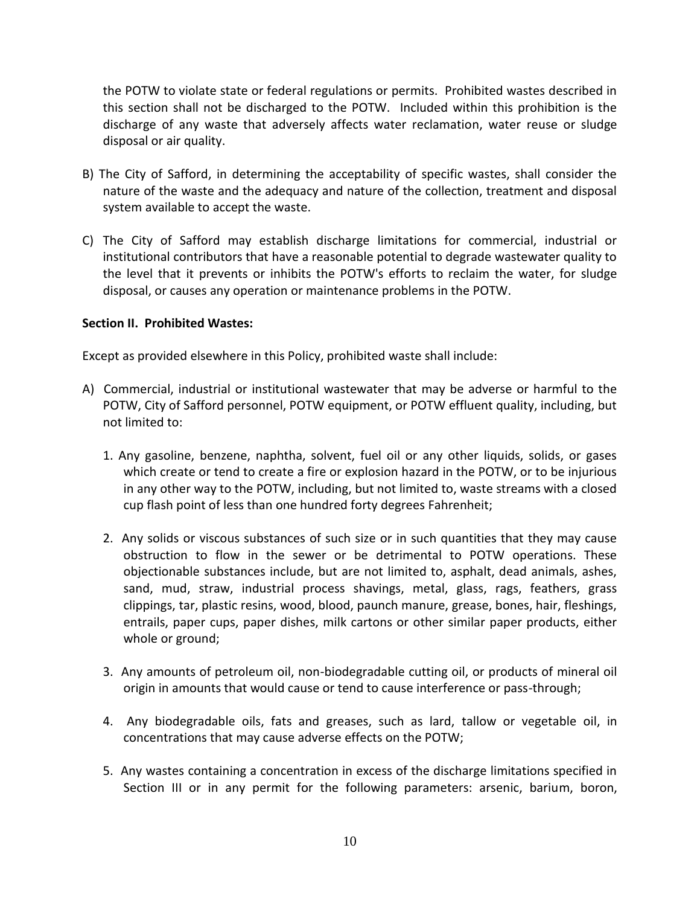the POTW to violate state or federal regulations or permits. Prohibited wastes described in this section shall not be discharged to the POTW. Included within this prohibition is the discharge of any waste that adversely affects water reclamation, water reuse or sludge disposal or air quality.

- B) The City of Safford, in determining the acceptability of specific wastes, shall consider the nature of the waste and the adequacy and nature of the collection, treatment and disposal system available to accept the waste.
- C) The City of Safford may establish discharge limitations for commercial, industrial or institutional contributors that have a reasonable potential to degrade wastewater quality to the level that it prevents or inhibits the POTW's efforts to reclaim the water, for sludge disposal, or causes any operation or maintenance problems in the POTW.

### **Section II. Prohibited Wastes:**

Except as provided elsewhere in this Policy, prohibited waste shall include:

- A) Commercial, industrial or institutional wastewater that may be adverse or harmful to the POTW, City of Safford personnel, POTW equipment, or POTW effluent quality, including, but not limited to:
	- 1. Any gasoline, benzene, naphtha, solvent, fuel oil or any other liquids, solids, or gases which create or tend to create a fire or explosion hazard in the POTW, or to be injurious in any other way to the POTW, including, but not limited to, waste streams with a closed cup flash point of less than one hundred forty degrees Fahrenheit;
	- 2. Any solids or viscous substances of such size or in such quantities that they may cause obstruction to flow in the sewer or be detrimental to POTW operations. These objectionable substances include, but are not limited to, asphalt, dead animals, ashes, sand, mud, straw, industrial process shavings, metal, glass, rags, feathers, grass clippings, tar, plastic resins, wood, blood, paunch manure, grease, bones, hair, fleshings, entrails, paper cups, paper dishes, milk cartons or other similar paper products, either whole or ground;
	- 3. Any amounts of petroleum oil, non-biodegradable cutting oil, or products of mineral oil origin in amounts that would cause or tend to cause interference or pass-through;
	- 4. Any biodegradable oils, fats and greases, such as lard, tallow or vegetable oil, in concentrations that may cause adverse effects on the POTW;
	- 5. Any wastes containing a concentration in excess of the discharge limitations specified in Section III or in any permit for the following parameters: arsenic, barium, boron,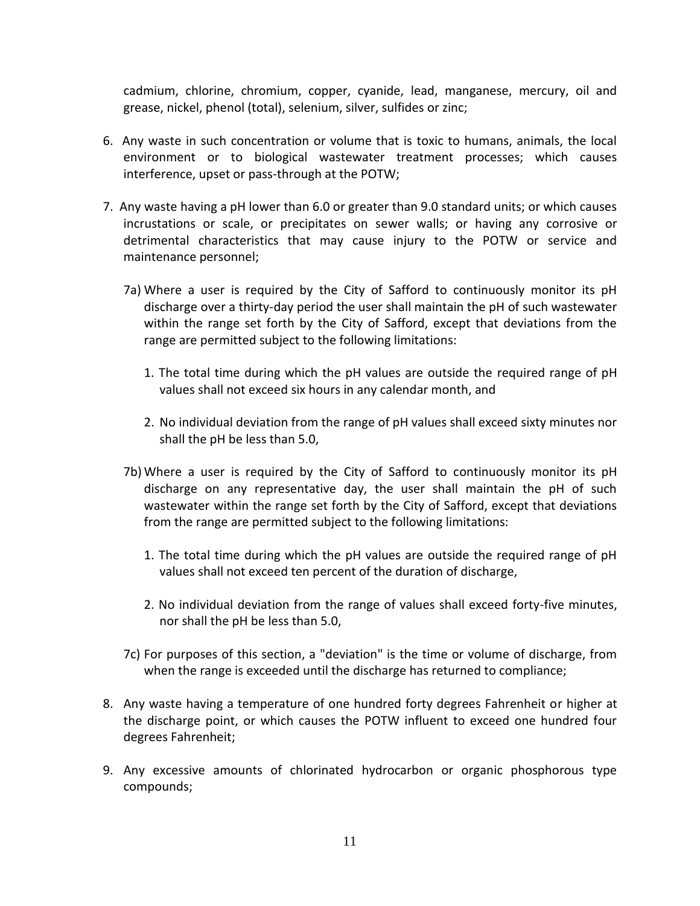cadmium, chlorine, chromium, copper, cyanide, lead, manganese, mercury, oil and grease, nickel, phenol (total), selenium, silver, sulfides or zinc;

- 6. Any waste in such concentration or volume that is toxic to humans, animals, the local environment or to biological wastewater treatment processes; which causes interference, upset or pass-through at the POTW;
- 7. Any waste having a pH lower than 6.0 or greater than 9.0 standard units; or which causes incrustations or scale, or precipitates on sewer walls; or having any corrosive or detrimental characteristics that may cause injury to the POTW or service and maintenance personnel;
	- 7a) Where a user is required by the City of Safford to continuously monitor its pH discharge over a thirty-day period the user shall maintain the pH of such wastewater within the range set forth by the City of Safford, except that deviations from the range are permitted subject to the following limitations:
		- 1. The total time during which the pH values are outside the required range of pH values shall not exceed six hours in any calendar month, and
		- 2. No individual deviation from the range of pH values shall exceed sixty minutes nor shall the pH be less than 5.0,
	- 7b) Where a user is required by the City of Safford to continuously monitor its pH discharge on any representative day, the user shall maintain the pH of such wastewater within the range set forth by the City of Safford, except that deviations from the range are permitted subject to the following limitations:
		- 1. The total time during which the pH values are outside the required range of pH values shall not exceed ten percent of the duration of discharge,
		- 2. No individual deviation from the range of values shall exceed forty-five minutes, nor shall the pH be less than 5.0,
	- 7c) For purposes of this section, a "deviation" is the time or volume of discharge, from when the range is exceeded until the discharge has returned to compliance;
- 8. Any waste having a temperature of one hundred forty degrees Fahrenheit or higher at the discharge point, or which causes the POTW influent to exceed one hundred four degrees Fahrenheit;
- 9. Any excessive amounts of chlorinated hydrocarbon or organic phosphorous type compounds;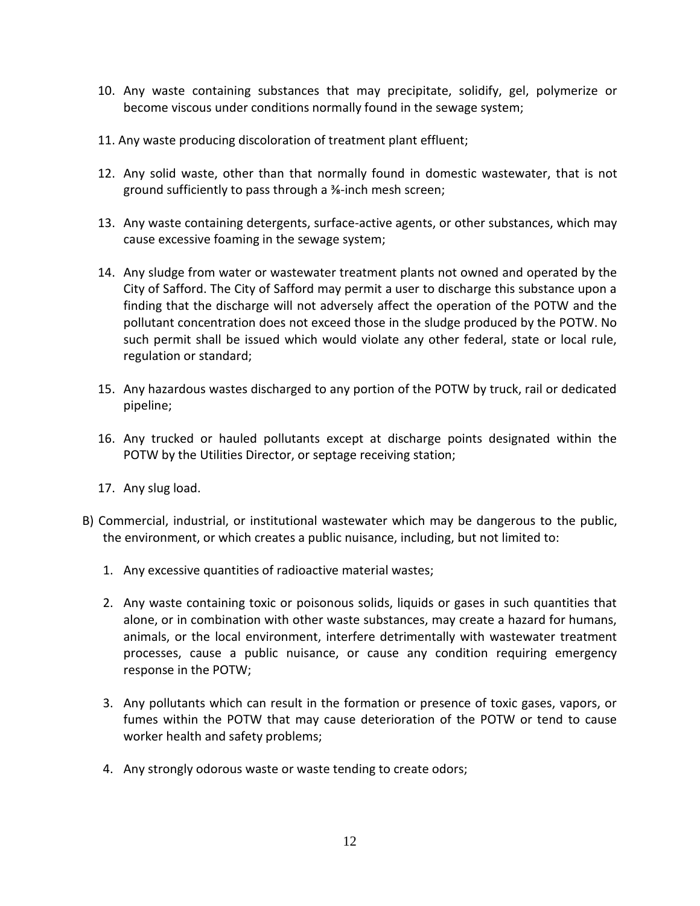- 10. Any waste containing substances that may precipitate, solidify, gel, polymerize or become viscous under conditions normally found in the sewage system;
- 11. Any waste producing discoloration of treatment plant effluent;
- 12. Any solid waste, other than that normally found in domestic wastewater, that is not ground sufficiently to pass through a ⅜-inch mesh screen;
- 13. Any waste containing detergents, surface-active agents, or other substances, which may cause excessive foaming in the sewage system;
- 14. Any sludge from water or wastewater treatment plants not owned and operated by the City of Safford. The City of Safford may permit a user to discharge this substance upon a finding that the discharge will not adversely affect the operation of the POTW and the pollutant concentration does not exceed those in the sludge produced by the POTW. No such permit shall be issued which would violate any other federal, state or local rule, regulation or standard;
- 15. Any hazardous wastes discharged to any portion of the POTW by truck, rail or dedicated pipeline;
- 16. Any trucked or hauled pollutants except at discharge points designated within the POTW by the Utilities Director, or septage receiving station;
- 17. Any slug load.
- B) Commercial, industrial, or institutional wastewater which may be dangerous to the public, the environment, or which creates a public nuisance, including, but not limited to:
	- 1. Any excessive quantities of radioactive material wastes;
	- 2. Any waste containing toxic or poisonous solids, liquids or gases in such quantities that alone, or in combination with other waste substances, may create a hazard for humans, animals, or the local environment, interfere detrimentally with wastewater treatment processes, cause a public nuisance, or cause any condition requiring emergency response in the POTW;
	- 3. Any pollutants which can result in the formation or presence of toxic gases, vapors, or fumes within the POTW that may cause deterioration of the POTW or tend to cause worker health and safety problems;
	- 4. Any strongly odorous waste or waste tending to create odors;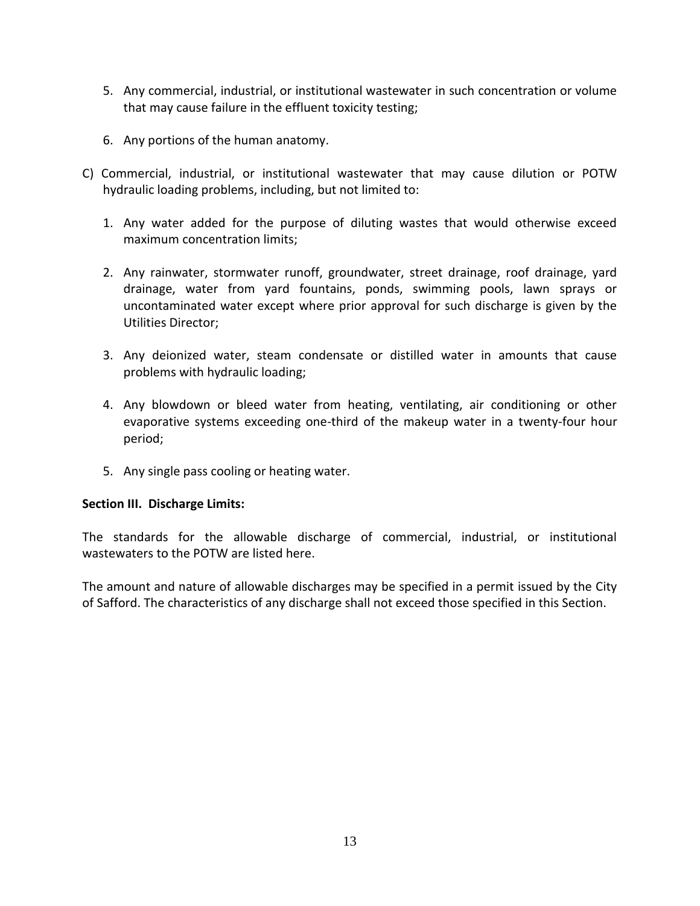- 5. Any commercial, industrial, or institutional wastewater in such concentration or volume that may cause failure in the effluent toxicity testing;
- 6. Any portions of the human anatomy.
- C) Commercial, industrial, or institutional wastewater that may cause dilution or POTW hydraulic loading problems, including, but not limited to:
	- 1. Any water added for the purpose of diluting wastes that would otherwise exceed maximum concentration limits;
	- 2. Any rainwater, stormwater runoff, groundwater, street drainage, roof drainage, yard drainage, water from yard fountains, ponds, swimming pools, lawn sprays or uncontaminated water except where prior approval for such discharge is given by the Utilities Director;
	- 3. Any deionized water, steam condensate or distilled water in amounts that cause problems with hydraulic loading;
	- 4. Any blowdown or bleed water from heating, ventilating, air conditioning or other evaporative systems exceeding one-third of the makeup water in a twenty-four hour period;
	- 5. Any single pass cooling or heating water.

### **Section III. Discharge Limits:**

The standards for the allowable discharge of commercial, industrial, or institutional wastewaters to the POTW are listed here.

The amount and nature of allowable discharges may be specified in a permit issued by the City of Safford. The characteristics of any discharge shall not exceed those specified in this Section.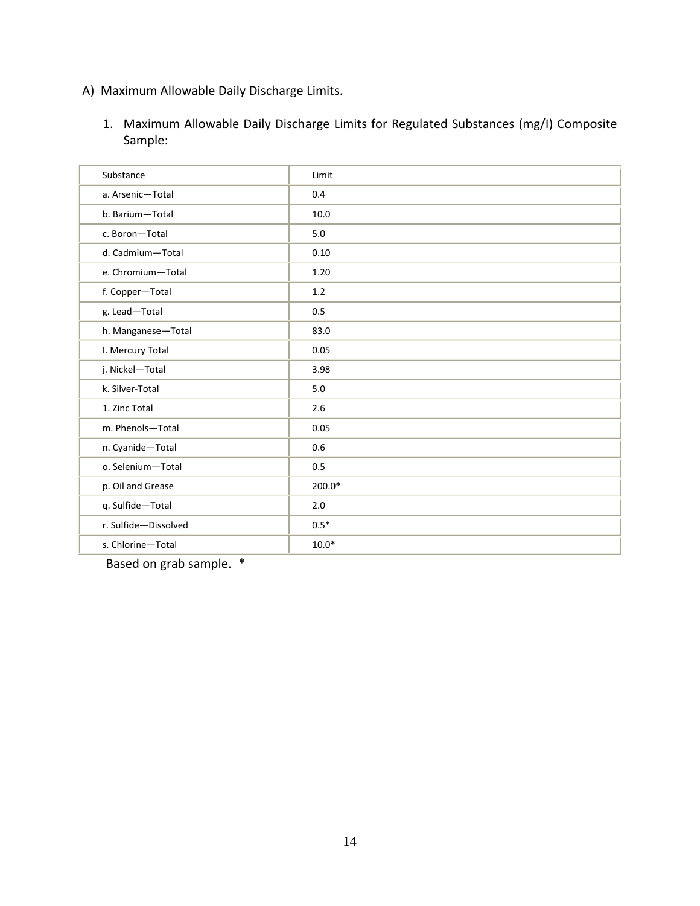# A) Maximum Allowable Daily Discharge Limits.

1. Maximum Allowable Daily Discharge Limits for Regulated Substances (mg/I) Composite Sample:

| Substance            | Limit   |
|----------------------|---------|
| a. Arsenic-Total     | 0.4     |
| b. Barium-Total      | 10.0    |
| c. Boron-Total       | 5.0     |
| d. Cadmium-Total     | 0.10    |
| e. Chromium-Total    | 1.20    |
| f. Copper-Total      | 1.2     |
| g. Lead-Total        | 0.5     |
| h. Manganese-Total   | 83.0    |
| I. Mercury Total     | 0.05    |
| j. Nickel-Total      | 3.98    |
| k. Silver-Total      | 5.0     |
| 1. Zinc Total        | 2.6     |
| m. Phenols-Total     | 0.05    |
| n. Cyanide-Total     | 0.6     |
| o. Selenium-Total    | 0.5     |
| p. Oil and Grease    | 200.0*  |
| q. Sulfide-Total     | 2.0     |
| r. Sulfide-Dissolved | $0.5*$  |
| s. Chlorine-Total    | $10.0*$ |

Based on grab sample. \*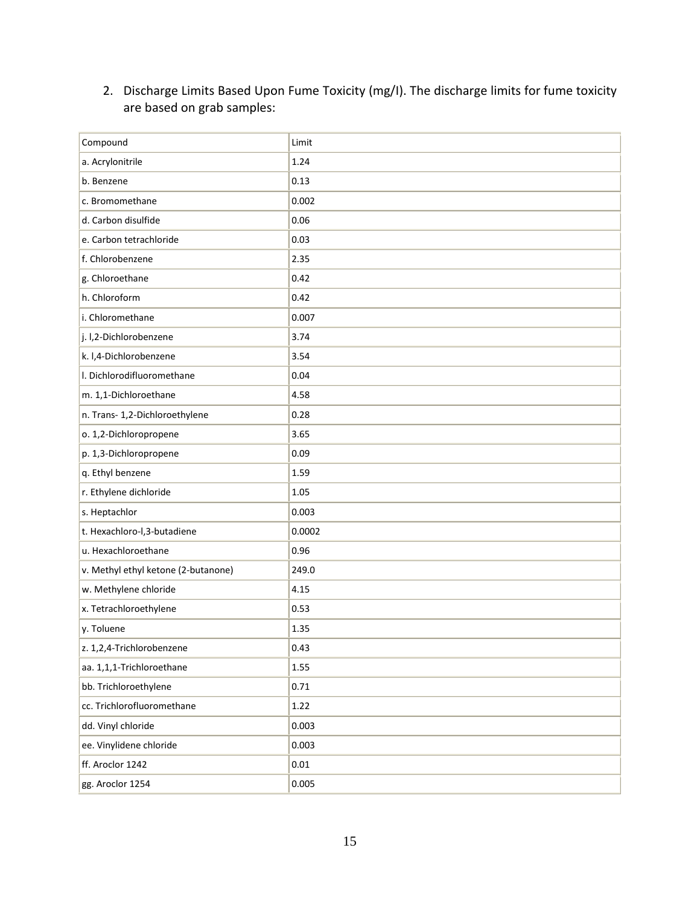# 2. Discharge Limits Based Upon Fume Toxicity (mg/I). The discharge limits for fume toxicity are based on grab samples:

| Compound                            | Limit    |
|-------------------------------------|----------|
| a. Acrylonitrile                    | 1.24     |
| b. Benzene                          | 0.13     |
| c. Bromomethane                     | 0.002    |
| d. Carbon disulfide                 | 0.06     |
| e. Carbon tetrachloride             | 0.03     |
| f. Chlorobenzene                    | 2.35     |
| g. Chloroethane                     | 0.42     |
| h. Chloroform                       | 0.42     |
| i. Chloromethane                    | 0.007    |
| j. l,2-Dichlorobenzene              | 3.74     |
| k. I,4-Dichlorobenzene              | 3.54     |
| I. Dichlorodifluoromethane          | 0.04     |
| m. 1,1-Dichloroethane               | 4.58     |
| n. Trans- 1,2-Dichloroethylene      | 0.28     |
| o. 1,2-Dichloropropene              | 3.65     |
| p. 1,3-Dichloropropene              | 0.09     |
| q. Ethyl benzene                    | 1.59     |
| r. Ethylene dichloride              | 1.05     |
| s. Heptachlor                       | 0.003    |
| t. Hexachloro-I,3-butadiene         | 0.0002   |
| u. Hexachloroethane                 | 0.96     |
| v. Methyl ethyl ketone (2-butanone) | 249.0    |
| w. Methylene chloride               | 4.15     |
| x. Tetrachloroethylene              | 0.53     |
| y. Toluene                          | 1.35     |
| z. 1,2,4-Trichlorobenzene           | 0.43     |
| aa. 1,1,1-Trichloroethane           | 1.55     |
| bb. Trichloroethylene               | 0.71     |
| cc. Trichlorofluoromethane          | 1.22     |
| dd. Vinyl chloride                  | 0.003    |
| ee. Vinylidene chloride             | 0.003    |
| ff. Aroclor 1242                    | $0.01\,$ |
| gg. Aroclor 1254                    | 0.005    |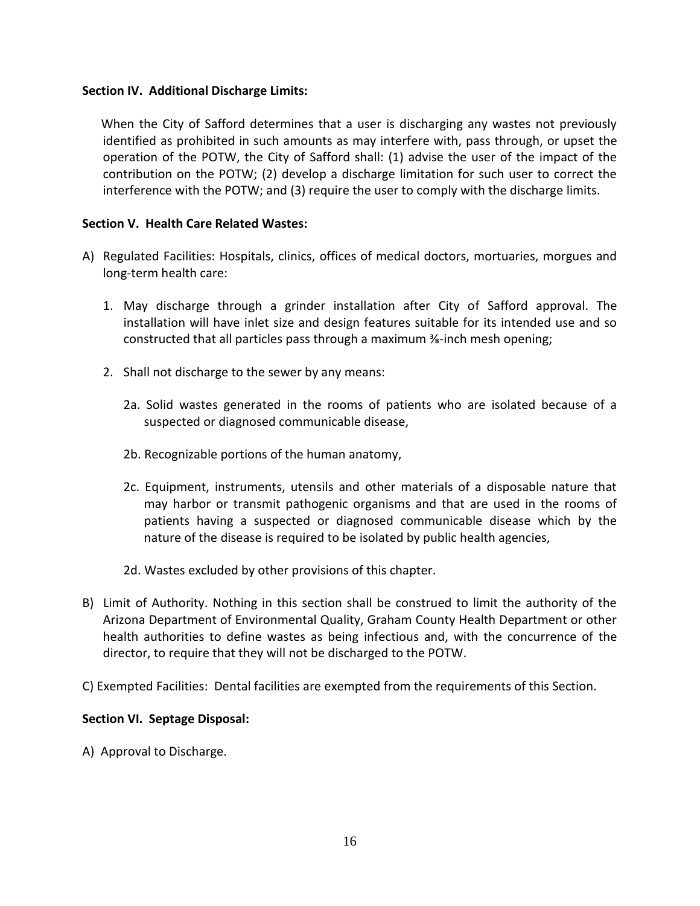### **Section IV. Additional Discharge Limits:**

 When the City of Safford determines that a user is discharging any wastes not previously identified as prohibited in such amounts as may interfere with, pass through, or upset the operation of the POTW, the City of Safford shall: (1) advise the user of the impact of the contribution on the POTW; (2) develop a discharge limitation for such user to correct the interference with the POTW; and (3) require the user to comply with the discharge limits.

### **Section V. Health Care Related Wastes:**

- A) Regulated Facilities: Hospitals, clinics, offices of medical doctors, mortuaries, morgues and long-term health care:
	- 1. May discharge through a grinder installation after City of Safford approval. The installation will have inlet size and design features suitable for its intended use and so constructed that all particles pass through a maximum ⅜-inch mesh opening;
	- 2. Shall not discharge to the sewer by any means:
		- 2a. Solid wastes generated in the rooms of patients who are isolated because of a suspected or diagnosed communicable disease,
		- 2b. Recognizable portions of the human anatomy,
		- 2c. Equipment, instruments, utensils and other materials of a disposable nature that may harbor or transmit pathogenic organisms and that are used in the rooms of patients having a suspected or diagnosed communicable disease which by the nature of the disease is required to be isolated by public health agencies,
		- 2d. Wastes excluded by other provisions of this chapter.
- B) Limit of Authority. Nothing in this section shall be construed to limit the authority of the Arizona Department of Environmental Quality, Graham County Health Department or other health authorities to define wastes as being infectious and, with the concurrence of the director, to require that they will not be discharged to the POTW.
- C) Exempted Facilities: Dental facilities are exempted from the requirements of this Section.

### **Section VI. Septage Disposal:**

A) Approval to Discharge.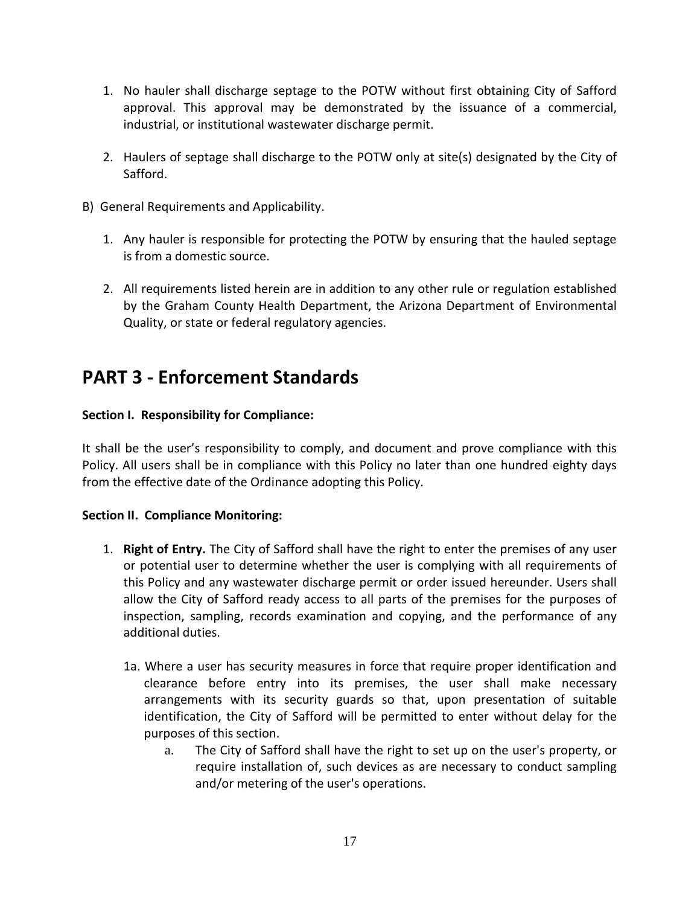- 1. No hauler shall discharge septage to the POTW without first obtaining City of Safford approval. This approval may be demonstrated by the issuance of a commercial, industrial, or institutional wastewater discharge permit.
- 2. Haulers of septage shall discharge to the POTW only at site(s) designated by the City of Safford.
- B) General Requirements and Applicability.
	- 1. Any hauler is responsible for protecting the POTW by ensuring that the hauled septage is from a domestic source.
	- 2. All requirements listed herein are in addition to any other rule or regulation established by the Graham County Health Department, the Arizona Department of Environmental Quality, or state or federal regulatory agencies.

# **PART 3 - Enforcement Standards**

# **Section I. Responsibility for Compliance:**

It shall be the user's responsibility to comply, and document and prove compliance with this Policy. All users shall be in compliance with this Policy no later than one hundred eighty days from the effective date of the Ordinance adopting this Policy.

# **Section II. Compliance Monitoring:**

- 1. **Right of Entry.** The City of Safford shall have the right to enter the premises of any user or potential user to determine whether the user is complying with all requirements of this Policy and any wastewater discharge permit or order issued hereunder. Users shall allow the City of Safford ready access to all parts of the premises for the purposes of inspection, sampling, records examination and copying, and the performance of any additional duties.
	- 1a. Where a user has security measures in force that require proper identification and clearance before entry into its premises, the user shall make necessary arrangements with its security guards so that, upon presentation of suitable identification, the City of Safford will be permitted to enter without delay for the purposes of this section.
		- a. The City of Safford shall have the right to set up on the user's property, or require installation of, such devices as are necessary to conduct sampling and/or metering of the user's operations.